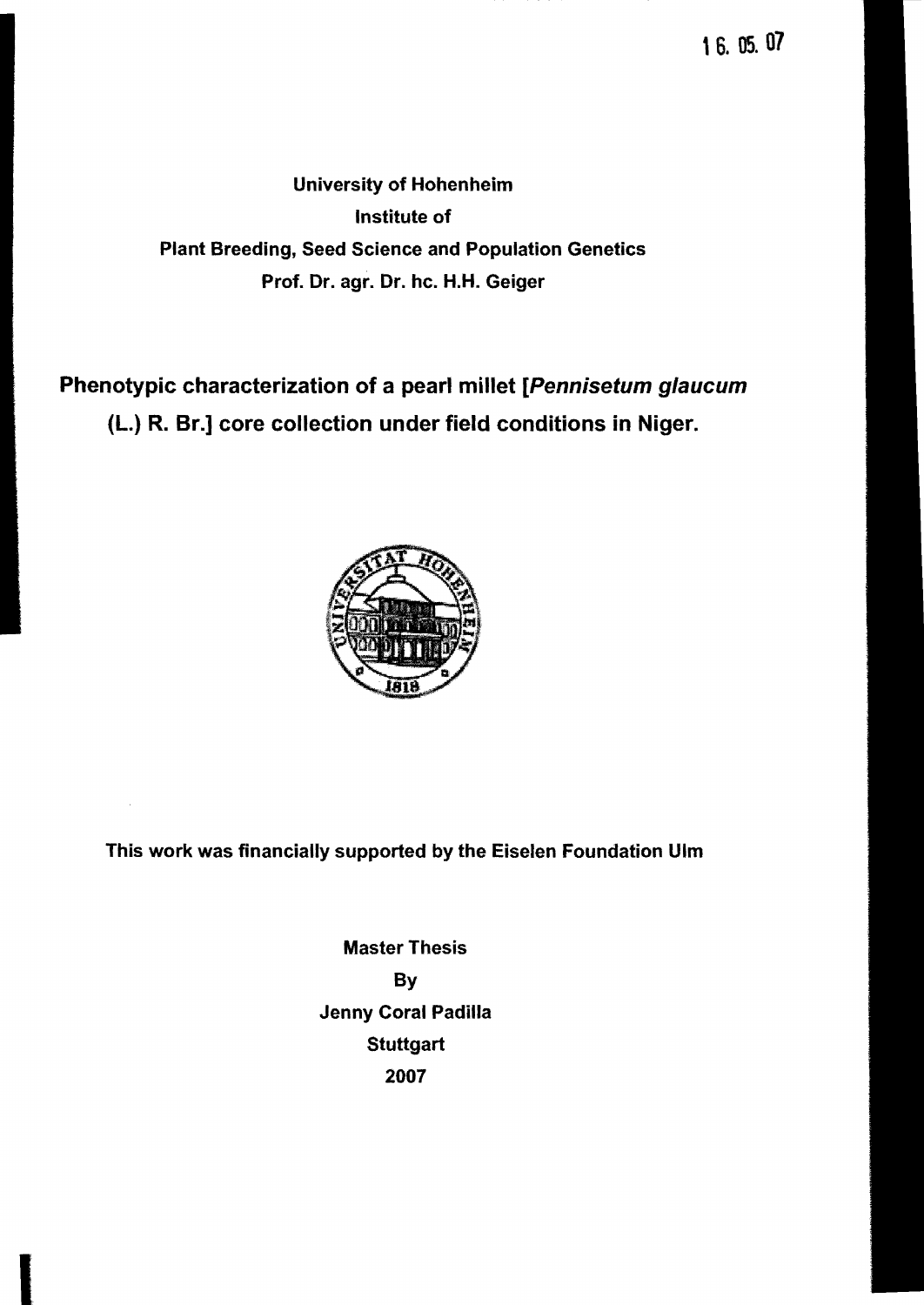16. OS. 07

University of Hohenheim Institute of Plant Breeding, Seed Science and Population Genetics Prof. Dr. agr. Dr. hc. H.H. Geiger

Phenotypic characterization of a pearl millet [Pennisetum glaucum (L.) R. Sr.] core collection under field conditions in Niger.



This work was financially supported by the Eiselen Foundation Ulm

Master Thesis By Jenny Coral Padilla **Stuttgart** 2007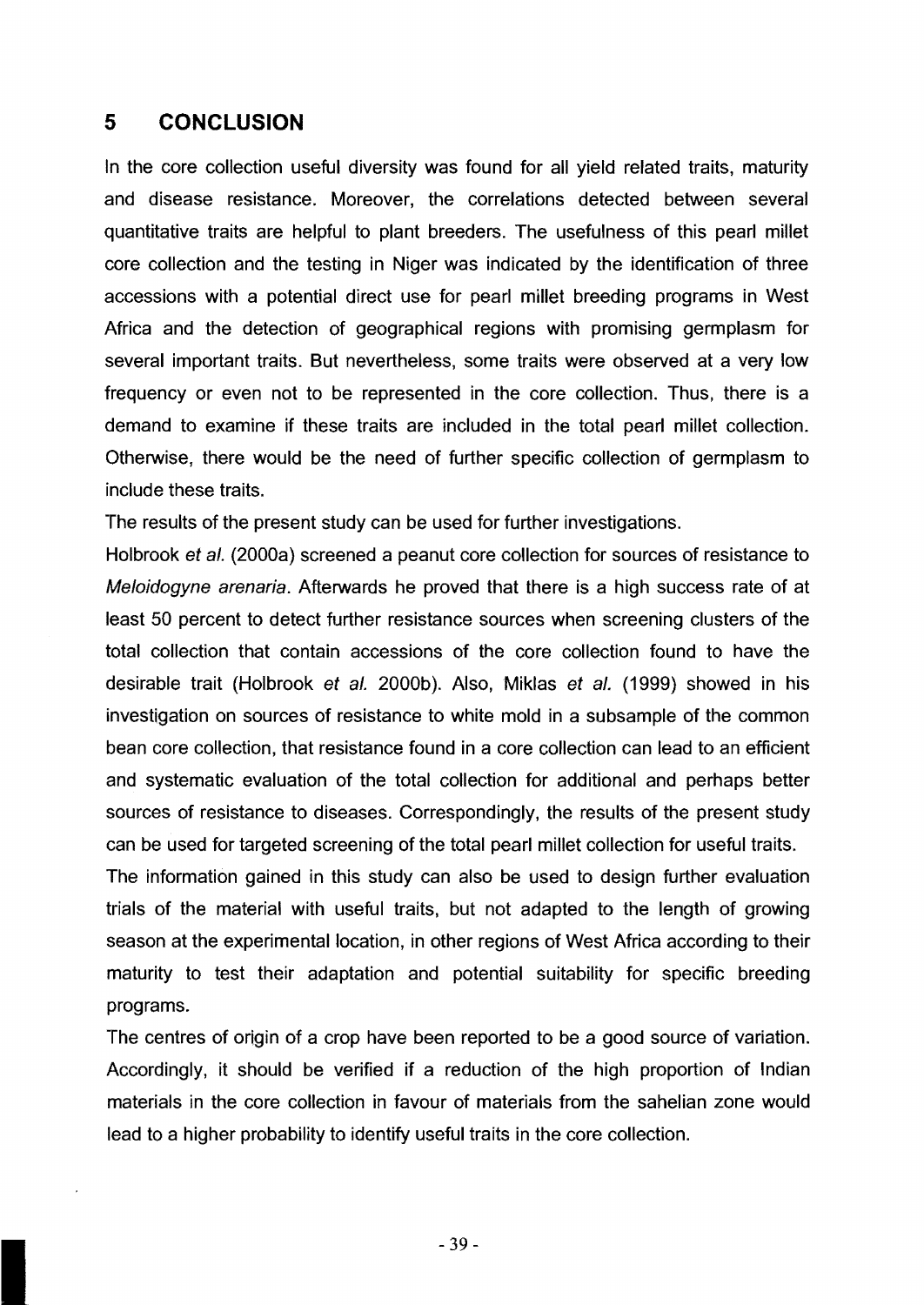## **5 CONCLUSION**

In the core collection useful diversity was found for all yield related traits, maturity and disease resistance. Moreover, the correlations detected between several quantitative traits are helpful to plant breeders. The usefulness of this pearl millet core collection and the testing in Niger was indicated by the identification of three accessions with a potential direct use for pearl millet breeding programs in West Africa and the detection of geographical regions with promising germplasm for several important traits. But nevertheless, some traits were observed at a very low frequency or even not to be represented in the core collection. Thus, there is a demand to examine if these traits are included in the total pearl millet collection. Otherwise, there would be the need of further specific collection of germplasm to include these traits.

The results of the present study can be used for further investigations.

Holbrook et al. (2000a) screened a peanut core collection for sources of resistance to Meloidogyne arenaria. Afterwards he proved that there is a high success rate of at least 50 percent to detect further resistance sources when screening clusters of the total collection that contain accessions of the core collection found to have the desirable trait (Holbrook et al. 2000b). Also, Miklas et al. (1999) showed in his investigation on sources of resistance to white mold in a subsampie of the common bean core collection, that resistance found in a core collection can lead to an efficient and systematic evaluation of the total collection for additional and perhaps better sources of resistance to diseases. Correspondingly, the results of the present study can be used for targeted screening of the total pearl millet collection for useful traits.

The information gained in this study can also be used to design further evaluation trials of the material with useful traits, but not adapted to the length of growing season at the experimental location, in other regions of West Africa according to their maturity to test their adaptation and potential suitability for specific breeding programs.

The centres of origin of a crop have been reported to be a good source of variation. Accordingly, it should be verified if a reduction of the high proportion of Indian materials in the core collection in favour of materials from the sahelian zone would lead to a higher probability to identify useful traits in the core collection.